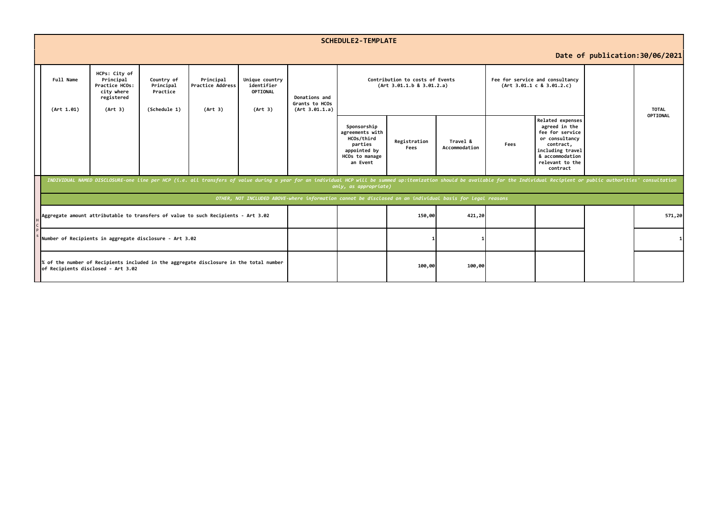|                                                                                                          | <b>SCHEDULE2-TEMPLATE</b>                                                                                                                                                                                                                                                    |                                                                                     |                                                     |                                                 |                                                     |                                                   |                                                                                                       |                      |                           |                                                              |                                                                                                                                                           |  |              |
|----------------------------------------------------------------------------------------------------------|------------------------------------------------------------------------------------------------------------------------------------------------------------------------------------------------------------------------------------------------------------------------------|-------------------------------------------------------------------------------------|-----------------------------------------------------|-------------------------------------------------|-----------------------------------------------------|---------------------------------------------------|-------------------------------------------------------------------------------------------------------|----------------------|---------------------------|--------------------------------------------------------------|-----------------------------------------------------------------------------------------------------------------------------------------------------------|--|--------------|
|                                                                                                          | Date of publication: 30/06/2021                                                                                                                                                                                                                                              |                                                                                     |                                                     |                                                 |                                                     |                                                   |                                                                                                       |                      |                           |                                                              |                                                                                                                                                           |  |              |
|                                                                                                          | Full Name<br>(Art 1.01)                                                                                                                                                                                                                                                      | HCPs: City of<br>Principal<br>Practice HCOs:<br>city where<br>registered<br>(Art 3) | Country of<br>Principal<br>Practice<br>(Schedule 1) | Principal<br><b>Practice Address</b><br>(Art 3) | Unique country<br>identifier<br>OPTIONAL<br>(Art 3) | Donations and<br>Grants to HCOs<br>(Art 3.01.1.a) | Contribution to costs of Events<br>(Art 3.01.1.b 8 3.01.2.a)                                          |                      |                           | Fee for service and consultancy<br>(Art 3.01.1 c 8 3.01.2.c) |                                                                                                                                                           |  | <b>TOTAL</b> |
|                                                                                                          |                                                                                                                                                                                                                                                                              |                                                                                     |                                                     |                                                 |                                                     |                                                   | Sponsorship<br>agreements with<br>HCOs/third<br>parties<br>appointed by<br>HCOs to manage<br>an Event | Registration<br>Fees | Travel &<br>Accommodation | Fees                                                         | Related expenses<br>agreed in the<br>fee for service<br>or consultancy<br>contract,<br>including travel<br>& accommodation<br>relevant to the<br>contract |  | OPTIONAL     |
|                                                                                                          | INDIVIDUAL NAMED DISCLOSURE-one line per HCP (i.e. all transfers of value during a year for an individual HCP will be summed up:itemization should be available for the Individual Recipient or public authorities' consultati<br>only, as appropriate)                      |                                                                                     |                                                     |                                                 |                                                     |                                                   |                                                                                                       |                      |                           |                                                              |                                                                                                                                                           |  |              |
| OTHER, NOT INCLUDED ABOVE-where information cannot be disclosed on an individual basis for legal reasons |                                                                                                                                                                                                                                                                              |                                                                                     |                                                     |                                                 |                                                     |                                                   |                                                                                                       |                      |                           |                                                              |                                                                                                                                                           |  |              |
|                                                                                                          | Aggregate amount attributable to transfers of value to such Recipients - Art 3.02<br>Number of Recipients in aggregate disclosure - Art 3.02<br>% of the number of Recipients included in the aggregate disclosure in the total number<br>of Recipients disclosed - Art 3.02 |                                                                                     |                                                     |                                                 |                                                     |                                                   |                                                                                                       | 150,00               | 421,20                    |                                                              |                                                                                                                                                           |  | 571,20       |
|                                                                                                          |                                                                                                                                                                                                                                                                              |                                                                                     |                                                     |                                                 |                                                     |                                                   |                                                                                                       |                      |                           |                                                              |                                                                                                                                                           |  |              |
|                                                                                                          |                                                                                                                                                                                                                                                                              |                                                                                     |                                                     |                                                 |                                                     |                                                   |                                                                                                       | 100,00               | 100,00                    |                                                              |                                                                                                                                                           |  |              |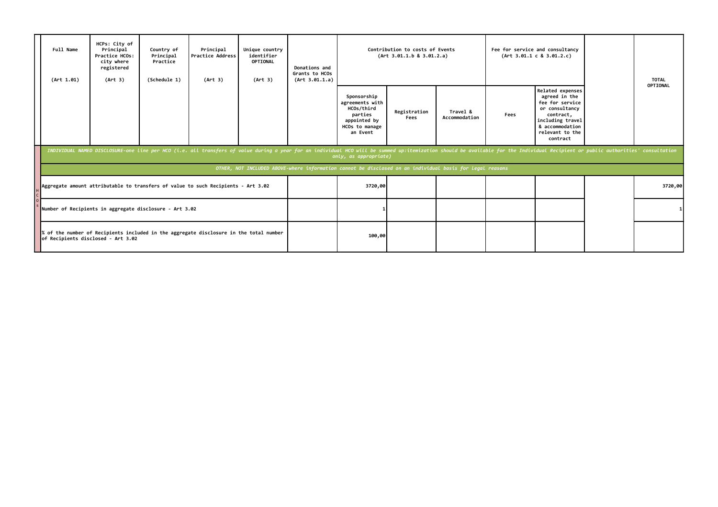| Full Name<br>(Art 1.01)                                                                                                                                                                                                                                 | HCPs: City of<br>Principal<br>Practice HCOs:<br>city where<br>registered<br>(Art 3) | Country of<br>Principal<br>Practice<br>(Schedule 1) | Principal<br><b>Practice Address</b><br>(Art 3)                                   | Unique country<br>identifier<br><b>OPTIONAL</b><br>(Art 3) | Donations and<br>Grants to HCOs<br>(Art 3.01.1.a) | Contribution to costs of Events<br>(Art 3.01.1.b 8 3.01.2.a)                                          |                      |                           |      | Fee for service and consultancy<br>(Art 3.01.1 c 8 3.01.2.c)                                                                                                     |  | <b>TOTAL</b> |
|---------------------------------------------------------------------------------------------------------------------------------------------------------------------------------------------------------------------------------------------------------|-------------------------------------------------------------------------------------|-----------------------------------------------------|-----------------------------------------------------------------------------------|------------------------------------------------------------|---------------------------------------------------|-------------------------------------------------------------------------------------------------------|----------------------|---------------------------|------|------------------------------------------------------------------------------------------------------------------------------------------------------------------|--|--------------|
|                                                                                                                                                                                                                                                         |                                                                                     |                                                     |                                                                                   |                                                            |                                                   | Sponsorship<br>agreements with<br>HCOs/third<br>parties<br>appointed by<br>HCOs to manage<br>an Event | Registration<br>Fees | Travel &<br>Accommodation | Fees | <b>Related expenses</b><br>agreed in the<br>fee for service<br>or consultancy<br>contract,<br>including travel<br>& accommodation<br>relevant to the<br>contract |  | OPTIONAL     |
| INDIVIDUAL NAMED DISCLOSURE-one line per HCO (i.e. all transfers of value during a year for an individual HCO will be summed up:itemization should be available for the Individual Recipient or public authorities' consultati<br>only, as appropriate) |                                                                                     |                                                     |                                                                                   |                                                            |                                                   |                                                                                                       |                      |                           |      |                                                                                                                                                                  |  |              |
| OTHER, NOT INCLUDED ABOVE-where information cannot be disclosed on an individual basis for legal reasons                                                                                                                                                |                                                                                     |                                                     |                                                                                   |                                                            |                                                   |                                                                                                       |                      |                           |      |                                                                                                                                                                  |  |              |
|                                                                                                                                                                                                                                                         |                                                                                     |                                                     | Aggregate amount attributable to transfers of value to such Recipients - Art 3.02 |                                                            |                                                   | 3720,00                                                                                               |                      |                           |      |                                                                                                                                                                  |  | 3720,00      |
| Number of Recipients in aggregate disclosure - Art 3.02                                                                                                                                                                                                 |                                                                                     |                                                     |                                                                                   |                                                            |                                                   |                                                                                                       |                      |                           |      |                                                                                                                                                                  |  | $1\vert$     |
| % of the number of Recipients included in the aggregate disclosure in the total number<br>of Recipients disclosed - Art 3.02                                                                                                                            |                                                                                     |                                                     |                                                                                   |                                                            |                                                   | 100,00                                                                                                |                      |                           |      |                                                                                                                                                                  |  |              |